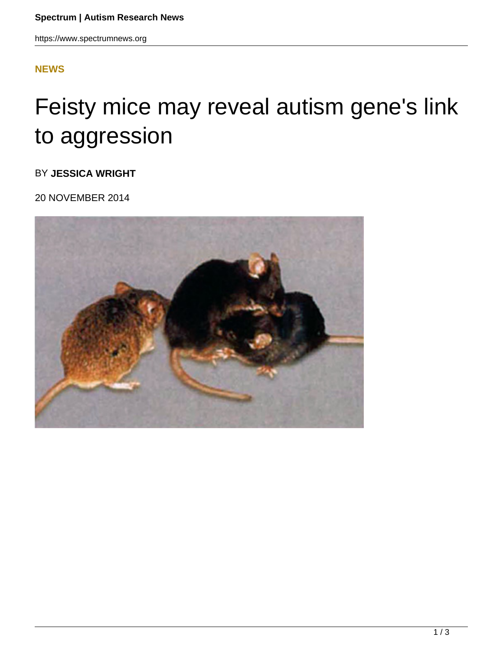## **[NEWS](HTTPS://WWW.SPECTRUMNEWS.ORG/NEWS/)**

## Feisty mice may reveal autism gene's link to aggression

BY **JESSICA WRIGHT**

20 NOVEMBER 2014

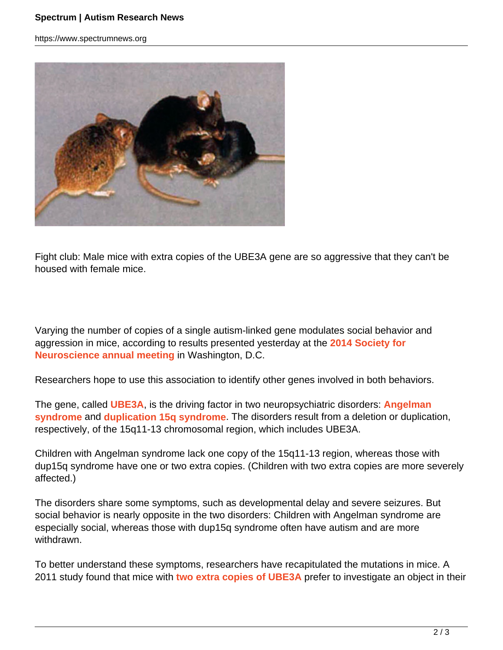https://www.spectrumnews.org



Fight club: Male mice with extra copies of the UBE3A gene are so aggressive that they can't be housed with female mice.

Varying the number of copies of a single autism-linked gene modulates social behavior and aggression in mice, according to results presented yesterday at the **2014 Society for Neuroscience annual meeting** in Washington, D.C.

Researchers hope to use this association to identify other genes involved in both behaviors.

The gene, called **UBE3A**, is the driving factor in two neuropsychiatric disorders: **Angelman syndrome** and **duplication 15q syndrome**. The disorders result from a deletion or duplication, respectively, of the 15q11-13 chromosomal region, which includes UBE3A.

Children with Angelman syndrome lack one copy of the 15q11-13 region, whereas those with dup15q syndrome have one or two extra copies. (Children with two extra copies are more severely affected.)

The disorders share some symptoms, such as developmental delay and severe seizures. But social behavior is nearly opposite in the two disorders: Children with Angelman syndrome are especially social, whereas those with dup15q syndrome often have autism and are more withdrawn.

To better understand these symptoms, researchers have recapitulated the mutations in mice. A 2011 study found that mice with **two extra copies of UBE3A** prefer to investigate an object in their